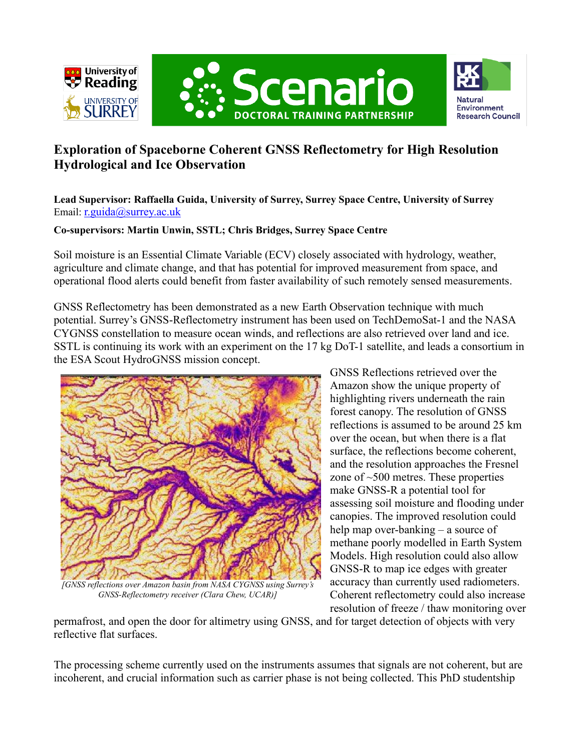





# **Exploration of Spaceborne Coherent GNSS Reflectometry for High Resolution Hydrological and Ice Observation**

**Lead Supervisor: Raffaella Guida, University of Surrey, Surrey Space Centre, University of Surrey** Email: [r.guida@surrey.ac.uk](mailto:r.guida@surrey.ac.uk)

## **Co-supervisors: Martin Unwin, SSTL; Chris Bridges, Surrey Space Centre**

Soil moisture is an Essential Climate Variable (ECV) closely associated with hydrology, weather, agriculture and climate change, and that has potential for improved measurement from space, and operational flood alerts could benefit from faster availability of such remotely sensed measurements.

GNSS Reflectometry has been demonstrated as a new Earth Observation technique with much potential. Surrey's GNSS-Reflectometry instrument has been used on TechDemoSat-1 and the NASA CYGNSS constellation to measure ocean winds, and reflections are also retrieved over land and ice. SSTL is continuing its work with an experiment on the 17 kg DoT-1 satellite, and leads a consortium in the ESA Scout HydroGNSS mission concept.



*GNSS-Reflectometry receiver (Clara Chew, UCAR)]*

GNSS Reflections retrieved over the Amazon show the unique property of highlighting rivers underneath the rain forest canopy. The resolution of GNSS reflections is assumed to be around 25 km over the ocean, but when there is a flat surface, the reflections become coherent, and the resolution approaches the Fresnel zone of ~500 metres. These properties make GNSS-R a potential tool for assessing soil moisture and flooding under canopies. The improved resolution could help map over-banking – a source of methane poorly modelled in Earth System Models. High resolution could also allow GNSS-R to map ice edges with greater accuracy than currently used radiometers. Coherent reflectometry could also increase resolution of freeze / thaw monitoring over

permafrost, and open the door for altimetry using GNSS, and for target detection of objects with very reflective flat surfaces.

The processing scheme currently used on the instruments assumes that signals are not coherent, but are incoherent, and crucial information such as carrier phase is not being collected. This PhD studentship